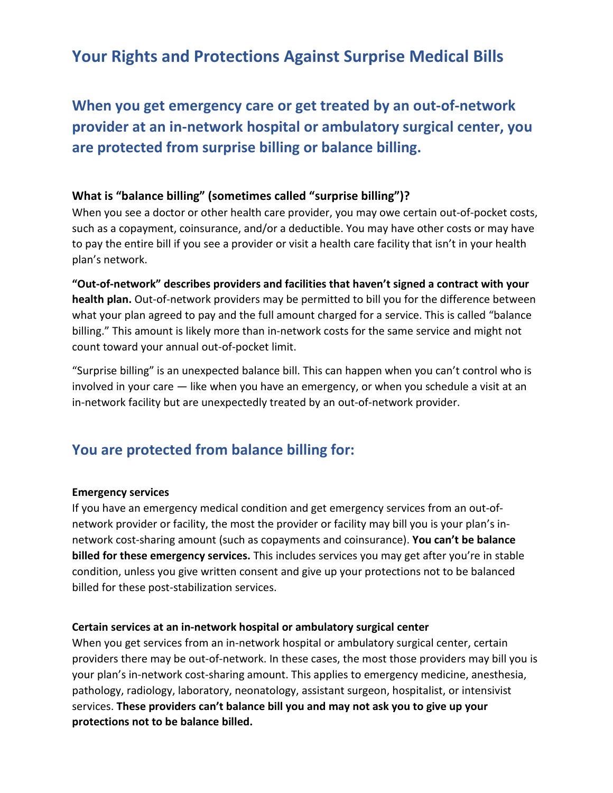## **Your Rights and Protections Against Surprise Medical Bills**

# **When you get emergency care or get treated by an out-of-network provider at an in-network hospital or ambulatory surgical center, you are protected from surprise billing or balance billing.**

### **What is "balance billing" (sometimes called "surprise billing")?**

When you see a doctor or other health care provider, you may owe certain out-of-pocket costs, such as a copayment, coinsurance, and/or a deductible. You may have other costs or may have to pay the entire bill if you see a provider or visit a health care facility that isn't in your health plan's network.

**"Out-of-network" describes providers and facilities that haven't signed a contract with your health plan.** Out-of-network providers may be permitted to bill you for the difference between what your plan agreed to pay and the full amount charged for a service. This is called "balance billing." This amount is likely more than in-network costs for the same service and might not count toward your annual out-of-pocket limit.

"Surprise billing" is an unexpected balance bill. This can happen when you can't control who is involved in your care — like when you have an emergency, or when you schedule a visit at an in-network facility but are unexpectedly treated by an out-of-network provider.

### **You are protected from balance billing for:**

#### **Emergency services**

If you have an emergency medical condition and get emergency services from an out-ofnetwork provider or facility, the most the provider or facility may bill you is your plan's innetwork cost-sharing amount (such as copayments and coinsurance). **You can't be balance billed for these emergency services.** This includes services you may get after you're in stable condition, unless you give written consent and give up your protections not to be balanced billed for these post-stabilization services.

#### **Certain services at an in-network hospital or ambulatory surgical center**

When you get services from an in-network hospital or ambulatory surgical center, certain providers there may be out-of-network. In these cases, the most those providers may bill you is your plan's in-network cost-sharing amount. This applies to emergency medicine, anesthesia, pathology, radiology, laboratory, neonatology, assistant surgeon, hospitalist, or intensivist services. **These providers can't balance bill you and may not ask you to give up your protections not to be balance billed.**